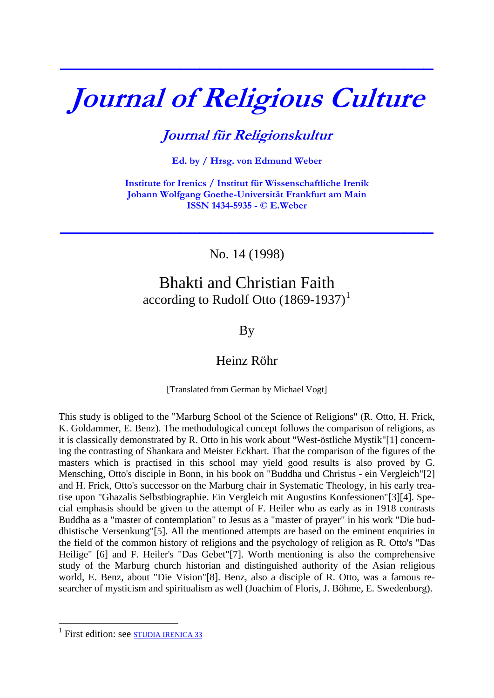## **Journal of Religious Culture**

**\_\_\_\_\_\_\_\_\_\_\_\_\_\_\_\_\_\_\_\_\_\_\_\_\_\_\_\_\_\_\_\_\_\_\_\_\_\_\_\_\_\_\_\_\_\_\_\_\_\_\_\_\_\_\_\_\_\_\_\_\_\_\_\_\_\_\_\_\_\_\_\_\_\_\_**

## **Journal für Religionskultur**

**Ed. by / Hrsg. von Edmund Weber** 

**Institute for Irenics / Institut für Wissenschaftliche Irenik Johann Wolfgang Goethe-Universität Frankfurt am Main ISSN 1434-5935 - © E.Weber** 

No. 14 (1998)

**\_\_\_\_\_\_\_\_\_\_\_\_\_\_\_\_\_\_\_\_\_\_\_\_\_\_\_\_\_\_\_\_\_\_\_\_\_\_\_\_\_\_\_\_\_\_\_\_\_\_\_\_\_\_\_\_\_\_\_\_\_\_\_\_\_\_\_\_\_\_\_\_\_\_\_**

## Bhakti and Christian Faith according to Rudolf Otto  $(1869-1937)^1$  $(1869-1937)^1$  $(1869-1937)^1$

By

## Heinz Röhr

[Translated from German by Michael Vogt]

This study is obliged to the "Marburg School of the Science of Religions" (R. Otto, H. Frick, K. Goldammer, E. Benz). The methodological concept follows the comparison of religions, as it is classically demonstrated by R. Otto in his work about "West-östliche Mystik"[1] concerning the contrasting of Shankara and Meister Eckhart. That the comparison of the figures of the masters which is practised in this school may yield good results is also proved by G. Mensching, Otto's disciple in Bonn, in his book on "Buddha und Christus - ein Vergleich"[2] and H. Frick, Otto's successor on the Marburg chair in Systematic Theology, in his early treatise upon "Ghazalis Selbstbiographie. Ein Vergleich mit Augustins Konfessionen"[3][4]. Special emphasis should be given to the attempt of F. Heiler who as early as in 1918 contrasts Buddha as a "master of contemplation" to Jesus as a "master of prayer" in his work "Die buddhistische Versenkung"[5]. All the mentioned attempts are based on the eminent enquiries in the field of the common history of religions and the psychology of religion as R. Otto's "Das Heilige" [6] and F. Heiler's "Das Gebet"[7]. Worth mentioning is also the comprehensive study of the Marburg church historian and distinguished authority of the Asian religious world, E. Benz, about "Die Vision"[8]. Benz, also a disciple of R. Otto, was a famous researcher of mysticism and spiritualism as well (Joachim of Floris, J. Böhme, E. Swedenborg).

<u>.</u>

<span id="page-0-0"></span><sup>&</sup>lt;sup>1</sup> First edition: see **STUDIA IRENICA** 33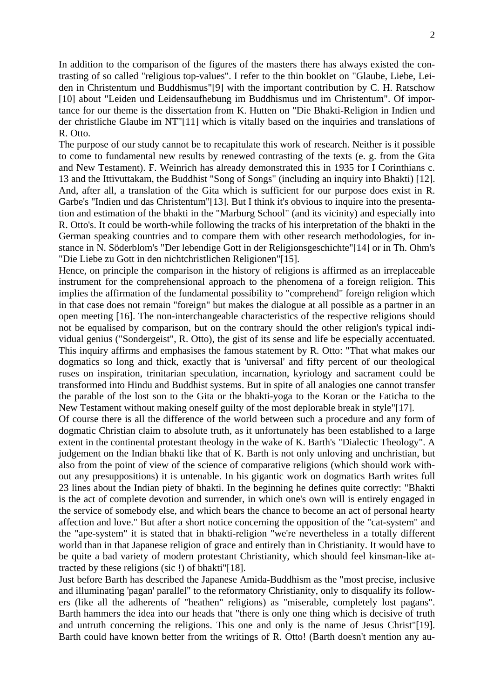In addition to the comparison of the figures of the masters there has always existed the contrasting of so called "religious top-values". I refer to the thin booklet on "Glaube, Liebe, Leiden in Christentum und Buddhismus"[9] with the important contribution by C. H. Ratschow [10] about "Leiden und Leidensaufhebung im Buddhismus und im Christentum". Of importance for our theme is the dissertation from K. Hutten on "Die Bhakti-Religion in Indien und der christliche Glaube im NT"[11] which is vitally based on the inquiries and translations of R. Otto.

The purpose of our study cannot be to recapitulate this work of research. Neither is it possible to come to fundamental new results by renewed contrasting of the texts (e. g. from the Gita and New Testament). F. Weinrich has already demonstrated this in 1935 for I Corinthians c. 13 and the Ittivuttakam, the Buddhist "Song of Songs" (including an inquiry into Bhakti) [12]. And, after all, a translation of the Gita which is sufficient for our purpose does exist in R. Garbe's "Indien und das Christentum"[13]. But I think it's obvious to inquire into the presentation and estimation of the bhakti in the "Marburg School" (and its vicinity) and especially into R. Otto's. It could be worth-while following the tracks of his interpretation of the bhakti in the German speaking countries and to compare them with other research methodologies, for instance in N. Söderblom's "Der lebendige Gott in der Religionsgeschichte"[14] or in Th. Ohm's "Die Liebe zu Gott in den nichtchristlichen Religionen"[15].

Hence, on principle the comparison in the history of religions is affirmed as an irreplaceable instrument for the comprehensional approach to the phenomena of a foreign religion. This implies the affirmation of the fundamental possibility to "comprehend" foreign religion which in that case does not remain "foreign" but makes the dialogue at all possible as a partner in an open meeting [16]. The non-interchangeable characteristics of the respective religions should not be equalised by comparison, but on the contrary should the other religion's typical individual genius ("Sondergeist", R. Otto), the gist of its sense and life be especially accentuated. This inquiry affirms and emphasises the famous statement by R. Otto: "That what makes our dogmatics so long and thick, exactly that is 'universal' and fifty percent of our theological ruses on inspiration, trinitarian speculation, incarnation, kyriology and sacrament could be transformed into Hindu and Buddhist systems. But in spite of all analogies one cannot transfer the parable of the lost son to the Gita or the bhakti-yoga to the Koran or the Faticha to the New Testament without making oneself guilty of the most deplorable break in style"[17].

Of course there is all the difference of the world between such a procedure and any form of dogmatic Christian claim to absolute truth, as it unfortunately has been established to a large extent in the continental protestant theology in the wake of K. Barth's "Dialectic Theology". A judgement on the Indian bhakti like that of K. Barth is not only unloving and unchristian, but also from the point of view of the science of comparative religions (which should work without any presuppositions) it is untenable. In his gigantic work on dogmatics Barth writes full 23 lines about the Indian piety of bhakti. In the beginning he defines quite correctly: "Bhakti is the act of complete devotion and surrender, in which one's own will is entirely engaged in the service of somebody else, and which bears the chance to become an act of personal hearty affection and love." But after a short notice concerning the opposition of the "cat-system" and the "ape-system" it is stated that in bhakti-religion "we're nevertheless in a totally different world than in that Japanese religion of grace and entirely than in Christianity. It would have to be quite a bad variety of modern protestant Christianity, which should feel kinsman-like attracted by these religions (sic !) of bhakti"[18].

Just before Barth has described the Japanese Amida-Buddhism as the "most precise, inclusive and illuminating 'pagan' parallel" to the reformatory Christianity, only to disqualify its followers (like all the adherents of "heathen" religions) as "miserable, completely lost pagans". Barth hammers the idea into our heads that "there is only one thing which is decisive of truth and untruth concerning the religions. This one and only is the name of Jesus Christ"[19]. Barth could have known better from the writings of R. Otto! (Barth doesn't mention any au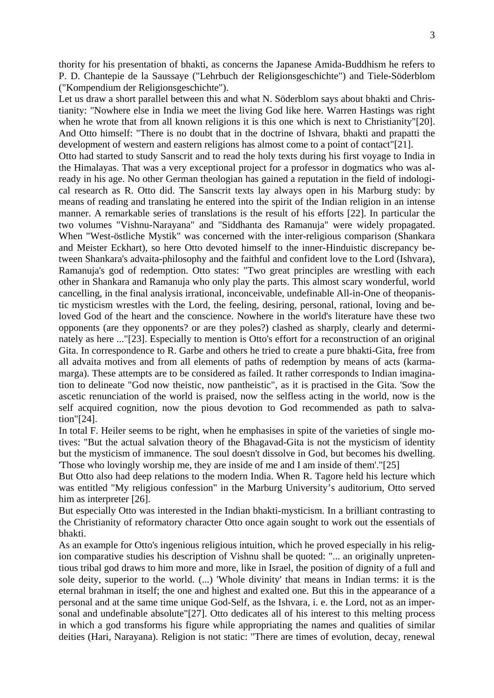thority for his presentation of bhakti, as concerns the Japanese Amida-Buddhism he refers to P. D. Chantepie de la Saussaye ("Lehrbuch der Religionsgeschichte") and Tiele-Söderblom ("Kompendium der Religionsgeschichte").

Let us draw a short parallel between this and what N. Söderblom says about bhakti and Christianity: "Nowhere else in India we meet the living God like here. Warren Hastings was right when he wrote that from all known religions it is this one which is next to Christianity"[20]. And Otto himself: "There is no doubt that in the doctrine of Ishvara, bhakti and prapatti the development of western and eastern religions has almost come to a point of contact"[21]. Otto had started to study Sanscrit and to read the holy texts during his first voyage to India in the Himalayas. That was a very exceptional project for a professor in dogmatics who was already in his age. No other German theologian has gained a reputation in the field of indological research as R. Otto did. The Sanscrit texts lay always open in his Marburg study: by means of reading and translating he entered into the spirit of the Indian religion in an intense manner. A remarkable series of translations is the result of his efforts [22]. In particular the two volumes "Vishnu-Narayana" and "Siddhanta des Ramanuja" were widely propagated. When "West-östliche Mystik" was concerned with the inter-religious comparison (Shankara and Meister Eckhart), so here Otto devoted himself to the inner-Hinduistic discrepancy between Shankara's advaita-philosophy and the faithful and confident love to the Lord (Ishvara), Ramanuja's god of redemption. Otto states: "Two great principles are wrestling with each other in Shankara and Ramanuja who only play the parts. This almost scary wonderful, world cancelling, in the final analysis irrational, inconceivable, undefinable All-in-One of theopanistic mysticism wrestles with the Lord, the feeling, desiring, personal, rational, loving and beloved God of the heart and the conscience. Nowhere in the world's literature have these two opponents (are they opponents? or are they poles?) clashed as sharply, clearly and determinately as here ..."[23]. Especially to mention is Otto's effort for a reconstruction of an original Gita. In correspondence to R. Garbe and others he tried to create a pure bhakti-Gita, free from all advaita motives and from all elements of paths of redemption by means of acts (karmamarga). These attempts are to be considered as failed. It rather corresponds to Indian imagination to delineate "God now theistic, now pantheistic", as it is practised in the Gita. 'Sow the ascetic renunciation of the world is praised, now the selfless acting in the world, now is the self acquired cognition, now the pious devotion to God recommended as path to salvation"[24].

In total F. Heiler seems to be right, when he emphasises in spite of the varieties of single motives: "But the actual salvation theory of the Bhagavad-Gita is not the mysticism of identity but the mysticism of immanence. The soul doesn't dissolve in God, but becomes his dwelling. 'Those who lovingly worship me, they are inside of me and I am inside of them'."[25]

But Otto also had deep relations to the modern India. When R. Tagore held his lecture which was entitled "My religious confession" in the Marburg University's auditorium, Otto served him as interpreter [26].

But especially Otto was interested in the Indian bhakti-mysticism. In a brilliant contrasting to the Christianity of reformatory character Otto once again sought to work out the essentials of bhakti.

As an example for Otto's ingenious religious intuition, which he proved especially in his religion comparative studies his description of Vishnu shall be quoted: "... an originally unpretentious tribal god draws to him more and more, like in Israel, the position of dignity of a full and sole deity, superior to the world. (...) 'Whole divinity' that means in Indian terms: it is the eternal brahman in itself; the one and highest and exalted one. But this in the appearance of a personal and at the same time unique God-Self, as the Ishvara, i. e. the Lord, not as an impersonal and undefinable absolute"[27]. Otto dedicates all of his interest to this melting process in which a god transforms his figure while appropriating the names and qualities of similar deities (Hari, Narayana). Religion is not static: "There are times of evolution, decay, renewal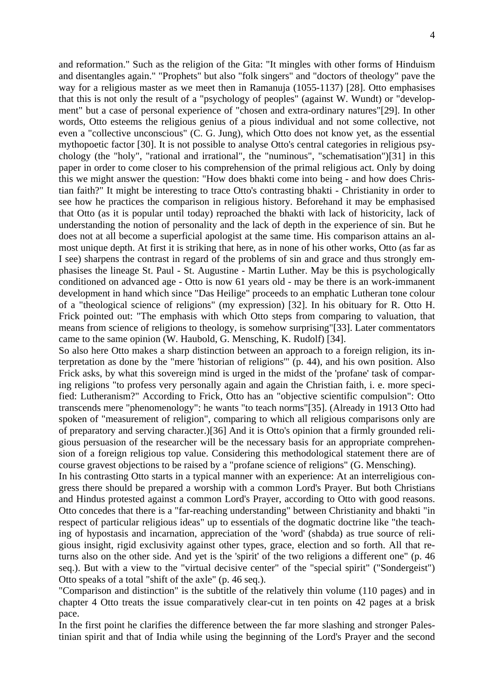and reformation." Such as the religion of the Gita: "It mingles with other forms of Hinduism and disentangles again." "Prophets" but also "folk singers" and "doctors of theology" pave the way for a religious master as we meet then in Ramanuja (1055-1137) [28]. Otto emphasises that this is not only the result of a "psychology of peoples" (against W. Wundt) or "development" but a case of personal experience of "chosen and extra-ordinary natures"[29]. In other words, Otto esteems the religious genius of a pious individual and not some collective, not even a "collective unconscious" (C. G. Jung), which Otto does not know yet, as the essential mythopoetic factor [30]. It is not possible to analyse Otto's central categories in religious psychology (the "holy", "rational and irrational", the "numinous", "schematisation")[31] in this paper in order to come closer to his comprehension of the primal religious act. Only by doing this we might answer the question: "How does bhakti come into being - and how does Christian faith?" It might be interesting to trace Otto's contrasting bhakti - Christianity in order to see how he practices the comparison in religious history. Beforehand it may be emphasised that Otto (as it is popular until today) reproached the bhakti with lack of historicity, lack of understanding the notion of personality and the lack of depth in the experience of sin. But he does not at all become a superficial apologist at the same time. His comparison attains an almost unique depth. At first it is striking that here, as in none of his other works, Otto (as far as I see) sharpens the contrast in regard of the problems of sin and grace and thus strongly emphasises the lineage St. Paul - St. Augustine - Martin Luther. May be this is psychologically conditioned on advanced age - Otto is now 61 years old - may be there is an work-immanent development in hand which since "Das Heilige" proceeds to an emphatic Lutheran tone colour of a "theological science of religions" (my expression) [32]. In his obituary for R. Otto H. Frick pointed out: "The emphasis with which Otto steps from comparing to valuation, that means from science of religions to theology, is somehow surprising"[33]. Later commentators came to the same opinion (W. Haubold, G. Mensching, K. Rudolf) [34].

So also here Otto makes a sharp distinction between an approach to a foreign religion, its interpretation as done by the "mere 'historian of religions'" (p. 44), and his own position. Also Frick asks, by what this sovereign mind is urged in the midst of the 'profane' task of comparing religions "to profess very personally again and again the Christian faith, i. e. more specified: Lutheranism?" According to Frick, Otto has an "objective scientific compulsion": Otto transcends mere "phenomenology": he wants "to teach norms"[35]. (Already in 1913 Otto had spoken of "measurement of religion", comparing to which all religious comparisons only are of preparatory and serving character.)[36] And it is Otto's opinion that a firmly grounded religious persuasion of the researcher will be the necessary basis for an appropriate comprehension of a foreign religious top value. Considering this methodological statement there are of course gravest objections to be raised by a "profane science of religions" (G. Mensching).

In his contrasting Otto starts in a typical manner with an experience: At an interreligious congress there should be prepared a worship with a common Lord's Prayer. But both Christians and Hindus protested against a common Lord's Prayer, according to Otto with good reasons. Otto concedes that there is a "far-reaching understanding" between Christianity and bhakti "in respect of particular religious ideas" up to essentials of the dogmatic doctrine like "the teaching of hypostasis and incarnation, appreciation of the 'word' (shabda) as true source of religious insight, rigid exclusivity against other types, grace, election and so forth. All that returns also on the other side. And yet is the 'spirit' of the two religions a different one" (p. 46 seq.). But with a view to the "virtual decisive center" of the "special spirit" ("Sondergeist") Otto speaks of a total "shift of the axle" (p. 46 seq.).

"Comparison and distinction" is the subtitle of the relatively thin volume (110 pages) and in chapter 4 Otto treats the issue comparatively clear-cut in ten points on 42 pages at a brisk pace.

In the first point he clarifies the difference between the far more slashing and stronger Palestinian spirit and that of India while using the beginning of the Lord's Prayer and the second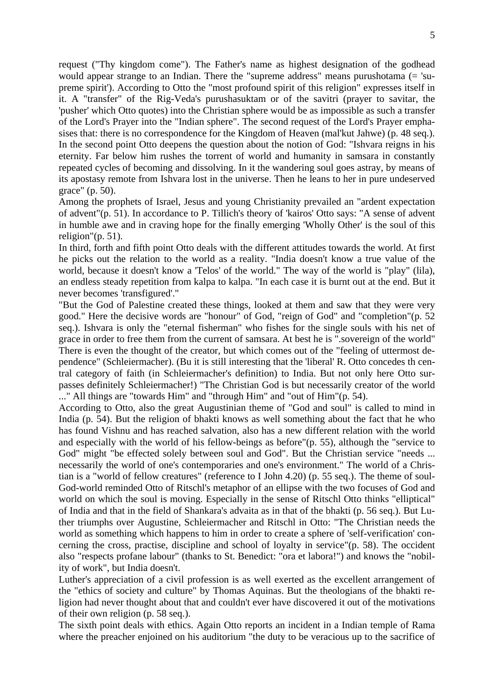request ("Thy kingdom come"). The Father's name as highest designation of the godhead would appear strange to an Indian. There the "supreme address" means purushotama (= 'supreme spirit'). According to Otto the "most profound spirit of this religion" expresses itself in it. A "transfer" of the Rig-Veda's purushasuktam or of the savitri (prayer to savitar, the 'pusher' which Otto quotes) into the Christian sphere would be as impossible as such a transfer of the Lord's Prayer into the "Indian sphere". The second request of the Lord's Prayer emphasises that: there is no correspondence for the Kingdom of Heaven (mal'kut Jahwe) (p. 48 seq.). In the second point Otto deepens the question about the notion of God: "Ishvara reigns in his eternity. Far below him rushes the torrent of world and humanity in samsara in constantly repeated cycles of becoming and dissolving. In it the wandering soul goes astray, by means of its apostasy remote from Ishvara lost in the universe. Then he leans to her in pure undeserved grace" (p. 50).

Among the prophets of Israel, Jesus and young Christianity prevailed an "ardent expectation of advent"(p. 51). In accordance to P. Tillich's theory of 'kairos' Otto says: "A sense of advent in humble awe and in craving hope for the finally emerging 'Wholly Other' is the soul of this religion"(p. 51).

In third, forth and fifth point Otto deals with the different attitudes towards the world. At first he picks out the relation to the world as a reality. "India doesn't know a true value of the world, because it doesn't know a 'Telos' of the world." The way of the world is "play" (lila), an endless steady repetition from kalpa to kalpa. "In each case it is burnt out at the end. But it never becomes 'transfigured'."

"But the God of Palestine created these things, looked at them and saw that they were very good." Here the decisive words are "honour" of God, "reign of God" and "completion"(p. 52 seq.). Ishvara is only the "eternal fisherman" who fishes for the single souls with his net of grace in order to free them from the current of samsara. At best he is ".sovereign of the world" There is even the thought of the creator, but which comes out of the "feeling of uttermost dependence" (Schleiermacher). (Bu it is still interesting that the 'liberal' R. Otto concedes th central category of faith (in Schleiermacher's definition) to India. But not only here Otto surpasses definitely Schleiermacher!) "The Christian God is but necessarily creator of the world ..." All things are "towards Him" and "through Him" and "out of Him"(p. 54).

According to Otto, also the great Augustinian theme of "God and soul" is called to mind in India (p. 54). But the religion of bhakti knows as well something about the fact that he who has found Vishnu and has reached salvation, also has a new different relation with the world and especially with the world of his fellow-beings as before"(p. 55), although the "service to God" might "be effected solely between soul and God". But the Christian service "needs ... necessarily the world of one's contemporaries and one's environment." The world of a Christian is a "world of fellow creatures" (reference to I John 4.20) (p. 55 seq.). The theme of soul-God-world reminded Otto of Ritschl's metaphor of an ellipse with the two focuses of God and world on which the soul is moving. Especially in the sense of Ritschl Otto thinks "elliptical" of India and that in the field of Shankara's advaita as in that of the bhakti (p. 56 seq.). But Luther triumphs over Augustine, Schleiermacher and Ritschl in Otto: "The Christian needs the world as something which happens to him in order to create a sphere of 'self-verification' concerning the cross, practise, discipline and school of loyalty in service"(p. 58). The occident also "respects profane labour" (thanks to St. Benedict: "ora et labora!") and knows the "nobility of work", but India doesn't.

Luther's appreciation of a civil profession is as well exerted as the excellent arrangement of the "ethics of society and culture" by Thomas Aquinas. But the theologians of the bhakti religion had never thought about that and couldn't ever have discovered it out of the motivations of their own religion (p. 58 seq.).

The sixth point deals with ethics. Again Otto reports an incident in a Indian temple of Rama where the preacher enjoined on his auditorium "the duty to be veracious up to the sacrifice of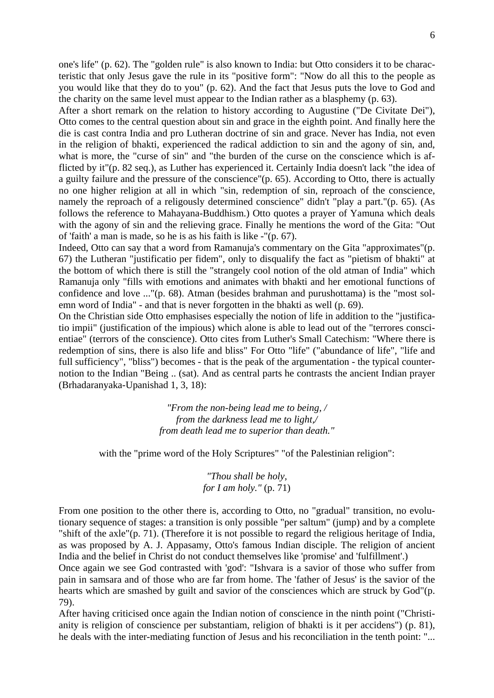one's life" (p. 62). The "golden rule" is also known to India: but Otto considers it to be characteristic that only Jesus gave the rule in its "positive form": "Now do all this to the people as you would like that they do to you" (p. 62). And the fact that Jesus puts the love to God and the charity on the same level must appear to the Indian rather as a blasphemy (p. 63).

After a short remark on the relation to history according to Augustine ("De Civitate Dei"), Otto comes to the central question about sin and grace in the eighth point. And finally here the die is cast contra India and pro Lutheran doctrine of sin and grace. Never has India, not even in the religion of bhakti, experienced the radical addiction to sin and the agony of sin, and, what is more, the "curse of sin" and "the burden of the curse on the conscience which is afflicted by it"(p. 82 seq.), as Luther has experienced it. Certainly India doesn't lack "the idea of a guilty failure and the pressure of the conscience"(p. 65). According to Otto, there is actually no one higher religion at all in which "sin, redemption of sin, reproach of the conscience, namely the reproach of a religously determined conscience" didn't "play a part."(p. 65). (As follows the reference to Mahayana-Buddhism.) Otto quotes a prayer of Yamuna which deals with the agony of sin and the relieving grace. Finally he mentions the word of the Gita: "Out of 'faith' a man is made, so he is as his faith is like -"(p. 67).

Indeed, Otto can say that a word from Ramanuja's commentary on the Gita "approximates"(p. 67) the Lutheran "justificatio per fidem", only to disqualify the fact as "pietism of bhakti" at the bottom of which there is still the "strangely cool notion of the old atman of India" which Ramanuja only "fills with emotions and animates with bhakti and her emotional functions of confidence and love ..."(p. 68). Atman (besides brahman and purushottama) is the "most solemn word of India" - and that is never forgotten in the bhakti as well (p. 69).

On the Christian side Otto emphasises especially the notion of life in addition to the "justificatio impii" (justification of the impious) which alone is able to lead out of the "terrores conscientiae" (terrors of the conscience). Otto cites from Luther's Small Catechism: "Where there is redemption of sins, there is also life and bliss" For Otto "life" ("abundance of life", "life and full sufficiency", "bliss") becomes - that is the peak of the argumentation - the typical counternotion to the Indian "Being .. (sat). And as central parts he contrasts the ancient Indian prayer (Brhadaranyaka-Upanishad 1, 3, 18):

> *"From the non-being lead me to being, / from the darkness lead me to light,/ from death lead me to superior than death."*

with the "prime word of the Holy Scriptures" "of the Palestinian religion":

*"Thou shall be holy, for I am holy."* (p. 71)

From one position to the other there is, according to Otto, no "gradual" transition, no evolutionary sequence of stages: a transition is only possible "per saltum" (jump) and by a complete "shift of the axle"(p. 71). (Therefore it is not possible to regard the religious heritage of India, as was proposed by A. J. Appasamy, Otto's famous Indian disciple. The religion of ancient India and the belief in Christ do not conduct themselves like 'promise' and 'fulfillment'.)

Once again we see God contrasted with 'god': "Ishvara is a savior of those who suffer from pain in samsara and of those who are far from home. The 'father of Jesus' is the savior of the hearts which are smashed by guilt and savior of the consciences which are struck by God"(p. 79).

After having criticised once again the Indian notion of conscience in the ninth point ("Christianity is religion of conscience per substantiam, religion of bhakti is it per accidens") (p. 81), he deals with the inter-mediating function of Jesus and his reconciliation in the tenth point: "...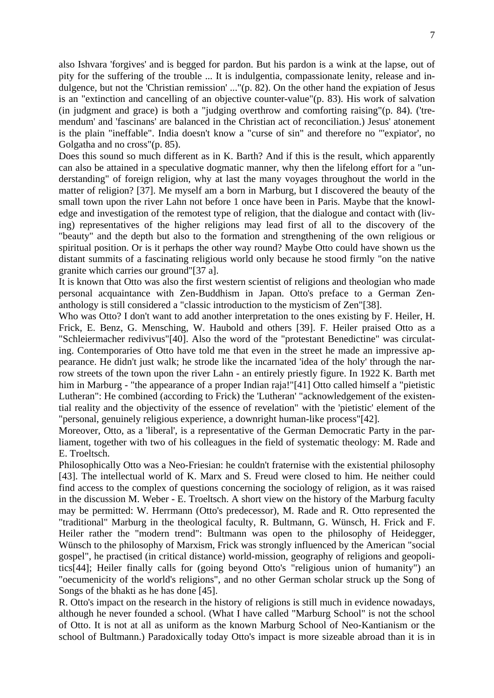also Ishvara 'forgives' and is begged for pardon. But his pardon is a wink at the lapse, out of pity for the suffering of the trouble ... It is indulgentia, compassionate lenity, release and indulgence, but not the 'Christian remission' ..."(p. 82). On the other hand the expiation of Jesus is an "extinction and cancelling of an objective counter-value"(p. 83). His work of salvation (in judgment and grace) is both a "judging overthrow and comforting raising"(p. 84). ('tremendum' and 'fascinans' are balanced in the Christian act of reconciliation.) Jesus' atonement is the plain "ineffable". India doesn't know a "curse of sin" and therefore no "'expiator', no Golgatha and no cross"(p. 85).

Does this sound so much different as in K. Barth? And if this is the result, which apparently can also be attained in a speculative dogmatic manner, why then the lifelong effort for a "understanding" of foreign religion, why at last the many voyages throughout the world in the matter of religion? [37]. Me myself am a born in Marburg, but I discovered the beauty of the small town upon the river Lahn not before 1 once have been in Paris. Maybe that the knowledge and investigation of the remotest type of religion, that the dialogue and contact with (living) representatives of the higher religions may lead first of all to the discovery of the "beauty" and the depth but also to the formation and strengthening of the own religious or spiritual position. Or is it perhaps the other way round? Maybe Otto could have shown us the distant summits of a fascinating religious world only because he stood firmly "on the native granite which carries our ground"[37 a].

It is known that Otto was also the first western scientist of religions and theologian who made personal acquaintance with Zen-Buddhism in Japan. Otto's preface to a German Zenanthology is still considered a "classic introduction to the mysticism of Zen"[38].

Who was Otto? I don't want to add another interpretation to the ones existing by F. Heiler, H. Frick, E. Benz, G. Mensching, W. Haubold and others [39]. F. Heiler praised Otto as a "Schleiermacher redivivus"[40]. Also the word of the "protestant Benedictine" was circulating. Contemporaries of Otto have told me that even in the street he made an impressive appearance. He didn't just walk; he strode like the incarnated 'idea of the holy' through the narrow streets of the town upon the river Lahn - an entirely priestly figure. In 1922 K. Barth met him in Marburg - "the appearance of a proper Indian raja!"[41] Otto called himself a "pietistic Lutheran": He combined (according to Frick) the 'Lutheran' "acknowledgement of the existential reality and the objectivity of the essence of revelation" with the 'pietistic' element of the "personal, genuinely religious experience, a downright human-like process"[42].

Moreover, Otto, as a 'liberal', is a representative of the German Democratic Party in the parliament, together with two of his colleagues in the field of systematic theology: M. Rade and E. Troeltsch.

Philosophically Otto was a Neo-Friesian: he couldn't fraternise with the existential philosophy [43]. The intellectual world of K. Marx and S. Freud were closed to him. He neither could find access to the complex of questions concerning the sociology of religion, as it was raised in the discussion M. Weber - E. Troeltsch. A short view on the history of the Marburg faculty may be permitted: W. Herrmann (Otto's predecessor), M. Rade and R. Otto represented the "traditional" Marburg in the theological faculty, R. Bultmann, G. Wünsch, H. Frick and F. Heiler rather the "modern trend": Bultmann was open to the philosophy of Heidegger, Wünsch to the philosophy of Marxism, Frick was strongly influenced by the American "social gospel", he practised (in critical distance) world-mission, geography of religions and geopolitics[44]; Heiler finally calls for (going beyond Otto's "religious union of humanity") an "oecumenicity of the world's religions", and no other German scholar struck up the Song of Songs of the bhakti as he has done [45].

R. Otto's impact on the research in the history of religions is still much in evidence nowadays, although he never founded a school. (What I have called "Marburg School" is not the school of Otto. It is not at all as uniform as the known Marburg School of Neo-Kantianism or the school of Bultmann.) Paradoxically today Otto's impact is more sizeable abroad than it is in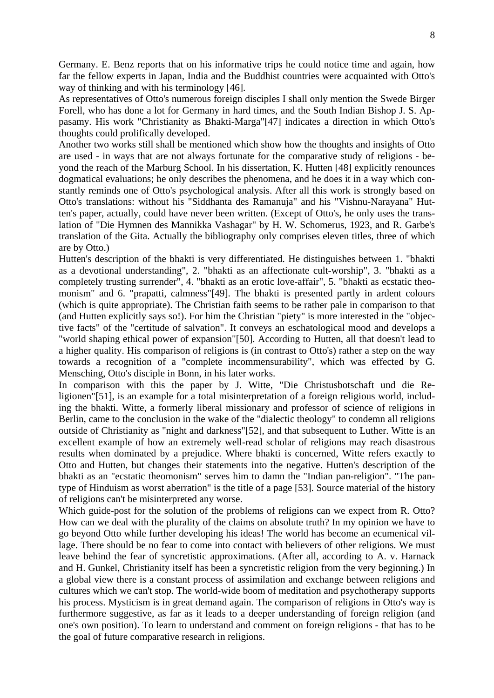Germany. E. Benz reports that on his informative trips he could notice time and again, how far the fellow experts in Japan, India and the Buddhist countries were acquainted with Otto's way of thinking and with his terminology [46].

As representatives of Otto's numerous foreign disciples I shall only mention the Swede Birger Forell, who has done a lot for Germany in hard times, and the South Indian Bishop J. S. Appasamy. His work "Christianity as Bhakti-Marga"[47] indicates a direction in which Otto's thoughts could prolifically developed.

Another two works still shall be mentioned which show how the thoughts and insights of Otto are used - in ways that are not always fortunate for the comparative study of religions - beyond the reach of the Marburg School. In his dissertation, K. Hutten [48] explicitly renounces dogmatical evaluations; he only describes the phenomena, and he does it in a way which constantly reminds one of Otto's psychological analysis. After all this work is strongly based on Otto's translations: without his "Siddhanta des Ramanuja" and his "Vishnu-Narayana" Hutten's paper, actually, could have never been written. (Except of Otto's, he only uses the translation of "Die Hymnen des Mannikka Vashagar" by H. W. Schomerus, 1923, and R. Garbe's translation of the Gita. Actually the bibliography only comprises eleven titles, three of which are by Otto.)

Hutten's description of the bhakti is very differentiated. He distinguishes between 1. "bhakti as a devotional understanding", 2. "bhakti as an affectionate cult-worship", 3. "bhakti as a completely trusting surrender", 4. "bhakti as an erotic love-affair", 5. "bhakti as ecstatic theomonism" and 6. "prapatti, calmness"[49]. The bhakti is presented partly in ardent colours (which is quite appropriate). The Christian faith seems to be rather pale in comparison to that (and Hutten explicitly says so!). For him the Christian "piety" is more interested in the "objective facts" of the "certitude of salvation". It conveys an eschatological mood and develops a "world shaping ethical power of expansion"[50]. According to Hutten, all that doesn't lead to a higher quality. His comparison of religions is (in contrast to Otto's) rather a step on the way towards a recognition of a "complete incommensurability", which was effected by G. Mensching, Otto's disciple in Bonn, in his later works.

In comparison with this the paper by J. Witte, "Die Christusbotschaft und die Religionen"[51], is an example for a total misinterpretation of a foreign religious world, including the bhakti. Witte, a formerly liberal missionary and professor of science of religions in Berlin, came to the conclusion in the wake of the "dialectic theology" to condemn all religions outside of Christianity as "night and darkness"[52], and that subsequent to Luther. Witte is an excellent example of how an extremely well-read scholar of religions may reach disastrous results when dominated by a prejudice. Where bhakti is concerned, Witte refers exactly to Otto and Hutten, but changes their statements into the negative. Hutten's description of the bhakti as an "ecstatic theomonism" serves him to damn the "Indian pan-religion". "The pantype of Hinduism as worst aberration" is the title of a page [53]. Source material of the history of religions can't be misinterpreted any worse.

Which guide-post for the solution of the problems of religions can we expect from R. Otto? How can we deal with the plurality of the claims on absolute truth? In my opinion we have to go beyond Otto while further developing his ideas! The world has become an ecumenical village. There should be no fear to come into contact with believers of other religions. We must leave behind the fear of syncretistic approximations. (After all, according to A. v. Harnack and H. Gunkel, Christianity itself has been a syncretistic religion from the very beginning.) In a global view there is a constant process of assimilation and exchange between religions and cultures which we can't stop. The world-wide boom of meditation and psychotherapy supports his process. Mysticism is in great demand again. The comparison of religions in Otto's way is furthermore suggestive, as far as it leads to a deeper understanding of foreign religion (and one's own position). To learn to understand and comment on foreign religions - that has to be the goal of future comparative research in religions.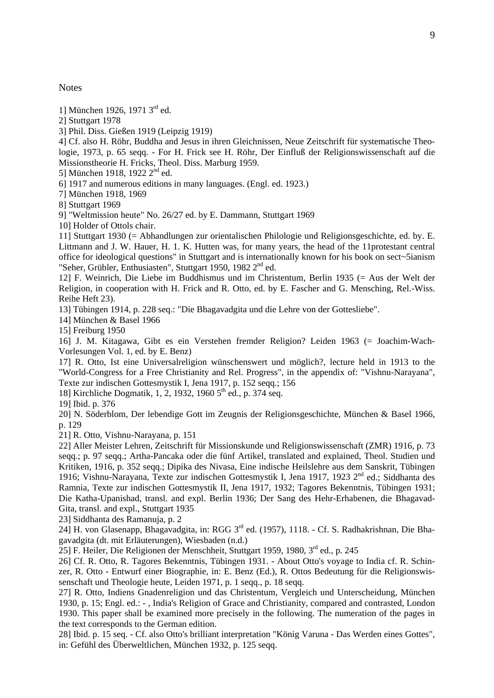**Notes** 

1] München 1926, 1971 3rd ed.

2] Stuttgart 1978

3] Phil. Diss. Gießen 1919 (Leipzig 1919)

4] Cf. also H. Röhr, Buddha and Jesus in ihren Gleichnissen, Neue Zeitschrift für systematische Theologie, 1973, p. 65 seqq. - For H. Frick see H. Röhr, Der Einfluß der Religionswissenschaft auf die Missionstheorie H. Fricks, Theol. Diss. Marburg 1959.

5] München 1918, 1922 2<sup>nd</sup> ed.

6] 1917 and numerous editions in many languages. (Engl. ed. 1923.)

7] München 1918, 1969

8] Stuttgart 1969

9] "Weltmission heute" No. 26/27 ed. by E. Dammann, Stuttgart 1969

10] Holder of Ottols chair.

11] Stuttgart 1930 (= Abhandlungen zur orientalischen Philologie und Religionsgeschichte, ed. by. E. Littmann and J. W. Hauer, H. 1. K. Hutten was, for many years, the head of the 11protestant central office for ideological questions" in Stuttgart and is internationally known for his book on sect~5ianism "Seher, Grübler, Enthusiasten", Stuttgart 1950, 1982 2<sup>nd</sup> ed.

12] F. Weinrich, Die Liebe im Buddhismus und im Christentum, Berlin 1935 (= Aus der Welt der Religion, in cooperation with H. Frick and R. Otto, ed. by E. Fascher and G. Mensching, Rel.-Wiss. Reihe Heft 23).

13] Tübingen 1914, p. 228 seq.: "Die Bhagavadgita und die Lehre von der Gottesliebe".

14] München & Basel 1966

15] Freiburg 1950

16] J. M. Kitagawa, Gibt es ein Verstehen fremder Religion? Leiden 1963 (= Joachim-Wach-Vorlesungen Vol. 1, ed. by E. Benz)

17] R. Otto, Ist eine Universalreligion wünschenswert und möglich?, lecture held in 1913 to the "World-Congress for a Free Christianity and Rel. Progress", in the appendix of: "Vishnu-Narayana", Texte zur indischen Gottesmystik I, Jena 1917, p. 152 seqq.; 156

18] Kirchliche Dogmatik, 1, 2, 1932, 1960 5<sup>th</sup> ed., p. 374 seq.

19] Ibid. p. 376

20] N. Söderblom, Der lebendige Gott im Zeugnis der Religionsgeschichte, München & Basel 1966, p. 129

21] R. Otto, Vishnu-Narayana, p. 151

22] Aller Meister Lehren, Zeitschrift für Missionskunde und Religionswissenschaft (ZMR) 1916, p. 73 seqq.; p. 97 seqq.; Artha-Pancaka oder die fünf Artikel, translated and explained, Theol. Studien und Kritiken, 1916, p. 352 seqq.; Dipika des Nivasa, Eine indische Heilslehre aus dem Sanskrit, Tübingen 1916; Vishnu-Narayana, Texte zur indischen Gottesmystik I, Jena 1917, 1923 2<sup>nd</sup> ed.; Siddhanta des Ramnia, Texte zur indischen Gottesmystik II, Jena 1917, 1932; Tagores Bekenntnis, Tübingen 1931; Die Katha-Upanishad, transl. and expl. Berlin 1936; Der Sang des Hehr-Erhabenen, die Bhagavad-Gita, transl. and expl., Stuttgart 1935

23] Siddhanta des Ramanuja, p. 2

24] H. von Glasenapp, Bhagavadgita, in: RGG 3rd ed. (1957), 1118. - Cf. S. Radhakrishnan, Die Bhagavadgita (dt. mit Erläuterungen), Wiesbaden (n.d.)

25] F. Heiler, Die Religionen der Menschheit, Stuttgart 1959, 1980, 3rd ed., p. 245

26] Cf. R. Otto, R. Tagores Bekenntnis, Tübingen 1931. - About Otto's voyage to India cf. R. Schinzer, R. Otto - Entwurf einer Biographie, in: E. Benz (Ed.), R. Ottos Bedeutung für die Religionswissenschaft und Theologie heute, Leiden 1971, p. 1 seqq., p. 18 seqq.

27] R. Otto, Indiens Gnadenreligion und das Christentum, Vergleich und Unterscheidung, München 1930, p. 15; Engl. ed.: - , India's Religion of Grace and Christianity, compared and contrasted, London 1930. This paper shall be examined more precisely in the following. The numeration of the pages in the text corresponds to the German edition.

28] Ibid. p. 15 seq. - Cf. also Otto's brilliant interpretation "König Varuna - Das Werden eines Gottes", in: Gefühl des Überweltlichen, München 1932, p. 125 seqq.